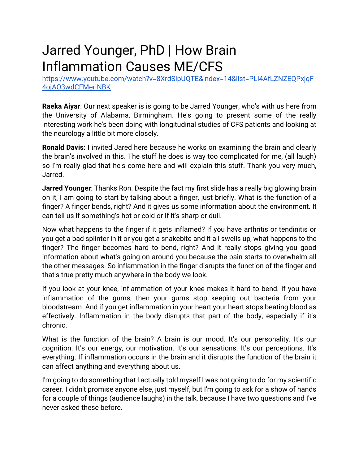## Jarred Younger, PhD | How Brain Inflammation Causes ME/CFS

[https://www.youtube.com/watch?v=8XrdSlpUQTE&index=14&list=PLl4AfLZNZEQPxjqF](https://www.youtube.com/watch?v=8XrdSlpUQTE&index=14&list=PLl4AfLZNZEQPxjqF4ojAO3wdCFMeriNBK) [4ojAO3wdCFMeriNBK](https://www.youtube.com/watch?v=8XrdSlpUQTE&index=14&list=PLl4AfLZNZEQPxjqF4ojAO3wdCFMeriNBK)

**Raeka Aiyar**: Our next speaker is is going to be Jarred Younger, who's with us here from the University of Alabama, Birmingham. He's going to present some of the really interesting work he's been doing with longitudinal studies of CFS patients and looking at the neurology a little bit more closely.

**Ronald Davis:** I invited Jared here because he works on examining the brain and clearly the brain's involved in this. The stuff he does is way too complicated for me, (all laugh) so I'm really glad that he's come here and will explain this stuff. Thank you very much, Jarred.

**Jarred Younger**: Thanks Ron. Despite the fact my first slide has a really big glowing brain on it, I am going to start by talking about a finger, just briefly. What is the function of a finger? A finger bends, right? And it gives us some information about the environment. It can tell us if something's hot or cold or if it's sharp or dull.

Now what happens to the finger if it gets inflamed? If you have arthritis or tendinitis or you get a bad splinter in it or you get a snakebite and it all swells up, what happens to the finger? The finger becomes hard to bend, right? And it really stops giving you good information about what's going on around you because the pain starts to overwhelm all the other messages. So inflammation in the finger disrupts the function of the finger and that's true pretty much anywhere in the body we look.

If you look at your knee, inflammation of your knee makes it hard to bend. If you have inflammation of the gums, then your gums stop keeping out bacteria from your bloodstream. And if you get inflammation in your heart your heart stops beating blood as effectively. Inflammation in the body disrupts that part of the body, especially if it's chronic.

What is the function of the brain? A brain is our mood. It's our personality. It's our cognition. It's our energy, our motivation. It's our sensations. It's our perceptions. It's everything. If inflammation occurs in the brain and it disrupts the function of the brain it can affect anything and everything about us.

I'm going to do something that I actually told myself I was not going to do for my scientific career. I didn't promise anyone else, just myself, but I'm going to ask for a show of hands for a couple of things (audience laughs) in the talk, because I have two questions and I've never asked these before.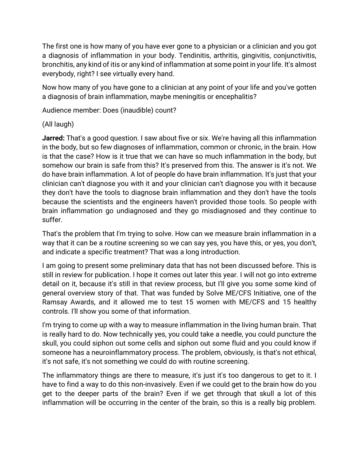The first one is how many of you have ever gone to a physician or a clinician and you got a diagnosis of inflammation in your body. Tendinitis, arthritis, gingivitis, conjunctivitis, bronchitis, any kind of itis or any kind of inflammation at some point in your life. It's almost everybody, right? I see virtually every hand.

Now how many of you have gone to a clinician at any point of your life and you've gotten a diagnosis of brain inflammation, maybe meningitis or encephalitis?

Audience member: Does (inaudible) count?

## (All laugh)

**Jarred:** That's a good question. I saw about five or six. We're having all this inflammation in the body, but so few diagnoses of inflammation, common or chronic, in the brain. How is that the case? How is it true that we can have so much inflammation in the body, but somehow our brain is safe from this? It's preserved from this. The answer is it's not. We do have brain inflammation. A lot of people do have brain inflammation. It's just that your clinician can't diagnose you with it and your clinician can't diagnose you with it because they don't have the tools to diagnose brain inflammation and they don't have the tools because the scientists and the engineers haven't provided those tools. So people with brain inflammation go undiagnosed and they go misdiagnosed and they continue to suffer.

That's the problem that I'm trying to solve. How can we measure brain inflammation in a way that it can be a routine screening so we can say yes, you have this, or yes, you don't, and indicate a specific treatment? That was a long introduction.

I am going to present some preliminary data that has not been discussed before. This is still in review for publication. I hope it comes out later this year. I will not go into extreme detail on it, because it's still in that review process, but I'll give you some some kind of general overview story of that. That was funded by Solve ME/CFS Initiative, one of the Ramsay Awards, and it allowed me to test 15 women with ME/CFS and 15 healthy controls. I'll show you some of that information.

I'm trying to come up with a way to measure inflammation in the living human brain. That is really hard to do. Now technically yes, you could take a needle, you could puncture the skull, you could siphon out some cells and siphon out some fluid and you could know if someone has a neuroinflammatory process. The problem, obviously, is that's not ethical, it's not safe, it's not something we could do with routine screening.

The inflammatory things are there to measure, it's just it's too dangerous to get to it. I have to find a way to do this non-invasively. Even if we could get to the brain how do you get to the deeper parts of the brain? Even if we get through that skull a lot of this inflammation will be occurring in the center of the brain, so this is a really big problem.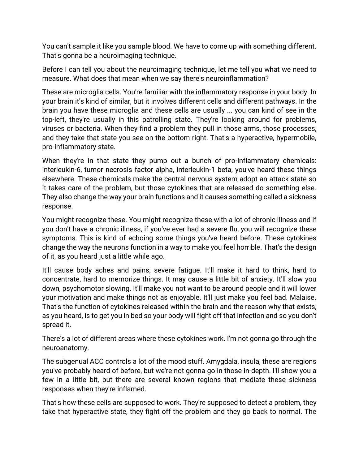You can't sample it like you sample blood. We have to come up with something different. That's gonna be a neuroimaging technique.

Before I can tell you about the neuroimaging technique, let me tell you what we need to measure. What does that mean when we say there's neuroinflammation?

These are microglia cells. You're familiar with the inflammatory response in your body. In your brain it's kind of similar, but it involves different cells and different pathways. In the brain you have these microglia and these cells are usually ... you can kind of see in the top-left, they're usually in this patrolling state. They're looking around for problems, viruses or bacteria. When they find a problem they pull in those arms, those processes, and they take that state you see on the bottom right. That's a hyperactive, hypermobile, pro-inflammatory state.

When they're in that state they pump out a bunch of pro-inflammatory chemicals: interleukin-6, tumor necrosis factor alpha, interleukin-1 beta, you've heard these things elsewhere. These chemicals make the central nervous system adopt an attack state so it takes care of the problem, but those cytokines that are released do something else. They also change the way your brain functions and it causes something called a sickness response.

You might recognize these. You might recognize these with a lot of chronic illness and if you don't have a chronic illness, if you've ever had a severe flu, you will recognize these symptoms. This is kind of echoing some things you've heard before. These cytokines change the way the neurons function in a way to make you feel horrible. That's the design of it, as you heard just a little while ago.

It'll cause body aches and pains, severe fatigue. It'll make it hard to think, hard to concentrate, hard to memorize things. It may cause a little bit of anxiety. It'll slow you down, psychomotor slowing. It'll make you not want to be around people and it will lower your motivation and make things not as enjoyable. It'll just make you feel bad. Malaise. That's the function of cytokines released within the brain and the reason why that exists, as you heard, is to get you in bed so your body will fight off that infection and so you don't spread it.

There's a lot of different areas where these cytokines work. I'm not gonna go through the neuroanatomy.

The subgenual ACC controls a lot of the mood stuff. Amygdala, insula, these are regions you've probably heard of before, but we're not gonna go in those in-depth. I'll show you a few in a little bit, but there are several known regions that mediate these sickness responses when they're inflamed.

That's how these cells are supposed to work. They're supposed to detect a problem, they take that hyperactive state, they fight off the problem and they go back to normal. The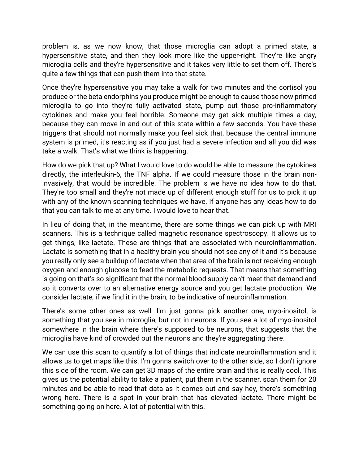problem is, as we now know, that those microglia can adopt a primed state, a hypersensitive state, and then they look more like the upper-right. They're like angry microglia cells and they're hypersensitive and it takes very little to set them off. There's quite a few things that can push them into that state.

Once they're hypersensitive you may take a walk for two minutes and the cortisol you produce or the beta endorphins you produce might be enough to cause those now primed microglia to go into they're fully activated state, pump out those pro-inflammatory cytokines and make you feel horrible. Someone may get sick multiple times a day, because they can move in and out of this state within a few seconds. You have these triggers that should not normally make you feel sick that, because the central immune system is primed, it's reacting as if you just had a severe infection and all you did was take a walk. That's what we think is happening.

How do we pick that up? What I would love to do would be able to measure the cytokines directly, the interleukin-6, the TNF alpha. If we could measure those in the brain noninvasively, that would be incredible. The problem is we have no idea how to do that. They're too small and they're not made up of different enough stuff for us to pick it up with any of the known scanning techniques we have. If anyone has any ideas how to do that you can talk to me at any time. I would love to hear that.

In lieu of doing that, in the meantime, there are some things we can pick up with MRI scanners. This is a technique called magnetic resonance spectroscopy. It allows us to get things, like lactate. These are things that are associated with neuroinflammation. Lactate is something that in a healthy brain you should not see any of it and it's because you really only see a buildup of lactate when that area of the brain is not receiving enough oxygen and enough glucose to feed the metabolic requests. That means that something is going on that's so significant that the normal blood supply can't meet that demand and so it converts over to an alternative energy source and you get lactate production. We consider lactate, if we find it in the brain, to be indicative of neuroinflammation.

There's some other ones as well. I'm just gonna pick another one, myo-inositol, is something that you see in microglia, but not in neurons. If you see a lot of myo-inositol somewhere in the brain where there's supposed to be neurons, that suggests that the microglia have kind of crowded out the neurons and they're aggregating there.

We can use this scan to quantify a lot of things that indicate neuroinflammation and it allows us to get maps like this. I'm gonna switch over to the other side, so I don't ignore this side of the room. We can get 3D maps of the entire brain and this is really cool. This gives us the potential ability to take a patient, put them in the scanner, scan them for 20 minutes and be able to read that data as it comes out and say hey, there's something wrong here. There is a spot in your brain that has elevated lactate. There might be something going on here. A lot of potential with this.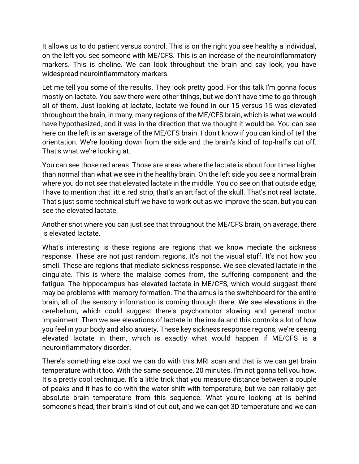It allows us to do patient versus control. This is on the right you see healthy a individual, on the left you see someone with ME/CFS. This is an increase of the neuroinflammatory markers. This is choline. We can look throughout the brain and say look, you have widespread neuroinflammatory markers.

Let me tell you some of the results. They look pretty good. For this talk I'm gonna focus mostly on lactate. You saw there were other things, but we don't have time to go through all of them. Just looking at lactate, lactate we found in our 15 versus 15 was elevated throughout the brain, in many, many regions of the ME/CFS brain, which is what we would have hypothesized, and it was in the direction that we thought it would be. You can see here on the left is an average of the ME/CFS brain. I don't know if you can kind of tell the orientation. We're looking down from the side and the brain's kind of top-half's cut off. That's what we're looking at.

You can see those red areas. Those are areas where the lactate is about four times higher than normal than what we see in the healthy brain. On the left side you see a normal brain where you do not see that elevated lactate in the middle. You do see on that outside edge, I have to mention that little red strip, that's an artifact of the skull. That's not real lactate. That's just some technical stuff we have to work out as we improve the scan, but you can see the elevated lactate.

Another shot where you can just see that throughout the ME/CFS brain, on average, there is elevated lactate.

What's interesting is these regions are regions that we know mediate the sickness response. These are not just random regions. It's not the visual stuff. It's not how you smell. These are regions that mediate sickness response. We see elevated lactate in the cingulate. This is where the malaise comes from, the suffering component and the fatigue. The hippocampus has elevated lactate in ME/CFS, which would suggest there may be problems with memory formation. The thalamus is the switchboard for the entire brain, all of the sensory information is coming through there. We see elevations in the cerebellum, which could suggest there's psychomotor slowing and general motor impairment. Then we see elevations of lactate in the insula and this controls a lot of how you feel in your body and also anxiety. These key sickness response regions, we're seeing elevated lactate in them, which is exactly what would happen if ME/CFS is a neuroinflammatory disorder.

There's something else cool we can do with this MRI scan and that is we can get brain temperature with it too. With the same sequence, 20 minutes. I'm not gonna tell you how. It's a pretty cool technique. It's a little trick that you measure distance between a couple of peaks and it has to do with the water shift with temperature, but we can reliably get absolute brain temperature from this sequence. What you're looking at is behind someone's head, their brain's kind of cut out, and we can get 3D temperature and we can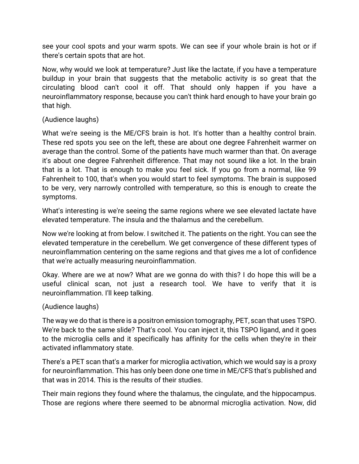see your cool spots and your warm spots. We can see if your whole brain is hot or if there's certain spots that are hot.

Now, why would we look at temperature? Just like the lactate, if you have a temperature buildup in your brain that suggests that the metabolic activity is so great that the circulating blood can't cool it off. That should only happen if you have a neuroinflammatory response, because you can't think hard enough to have your brain go that high.

## (Audience laughs)

What we're seeing is the ME/CFS brain is hot. It's hotter than a healthy control brain. These red spots you see on the left, these are about one degree Fahrenheit warmer on average than the control. Some of the patients have much warmer than that. On average it's about one degree Fahrenheit difference. That may not sound like a lot. In the brain that is a lot. That is enough to make you feel sick. If you go from a normal, like 99 Fahrenheit to 100, that's when you would start to feel symptoms. The brain is supposed to be very, very narrowly controlled with temperature, so this is enough to create the symptoms.

What's interesting is we're seeing the same regions where we see elevated lactate have elevated temperature. The insula and the thalamus and the cerebellum.

Now we're looking at from below. I switched it. The patients on the right. You can see the elevated temperature in the cerebellum. We get convergence of these different types of neuroinflammation centering on the same regions and that gives me a lot of confidence that we're actually measuring neuroinflammation.

Okay. Where are we at now? What are we gonna do with this? I do hope this will be a useful clinical scan, not just a research tool. We have to verify that it is neuroinflammation. I'll keep talking.

## (Audience laughs)

The way we do that is there is a positron emission tomography, PET, scan that uses TSPO. We're back to the same slide? That's cool. You can inject it, this TSPO ligand, and it goes to the microglia cells and it specifically has affinity for the cells when they're in their activated inflammatory state.

There's a PET scan that's a marker for microglia activation, which we would say is a proxy for neuroinflammation. This has only been done one time in ME/CFS that's published and that was in 2014. This is the results of their studies.

Their main regions they found where the thalamus, the cingulate, and the hippocampus. Those are regions where there seemed to be abnormal microglia activation. Now, did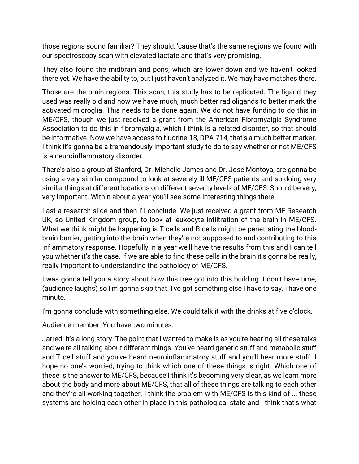those regions sound familiar? They should, 'cause that's the same regions we found with our spectroscopy scan with elevated lactate and that's very promising.

They also found the midbrain and pons, which are lower down and we haven't looked there yet. We have the ability to, but I just haven't analyzed it. We may have matches there.

Those are the brain regions. This scan, this study has to be replicated. The ligand they used was really old and now we have much, much better radioligands to better mark the activated microglia. This needs to be done again. We do not have funding to do this in ME/CFS, though we just received a grant from the American Fibromyalgia Syndrome Association to do this in fibromyalgia, which I think is a related disorder, so that should be informative. Now we have access to fluorine-18, DPA-714, that's a much better marker. I think it's gonna be a tremendously important study to do to say whether or not ME/CFS is a neuroinflammatory disorder.

There's also a group at Stanford, Dr. Michelle James and Dr. Jose Montoya, are gonna be using a very similar compound to look at severely ill ME/CFS patients and so doing very similar things at different locations on different severity levels of ME/CFS. Should be very, very important. Within about a year you'll see some interesting things there.

Last a research slide and then I'll conclude. We just received a grant from ME Research UK, so United Kingdom group, to look at leukocyte infiltration of the brain in ME/CFS. What we think might be happening is T cells and B cells might be penetrating the bloodbrain barrier, getting into the brain when they're not supposed to and contributing to this inflammatory response. Hopefully in a year we'll have the results from this and I can tell you whether it's the case. If we are able to find these cells in the brain it's gonna be really, really important to understanding the pathology of ME/CFS.

I was gonna tell you a story about how this tree got into this building. I don't have time, (audience laughs) so I'm gonna skip that. I've got something else I have to say. I have one minute.

I'm gonna conclude with something else. We could talk it with the drinks at five o'clock.

Audience member: You have two minutes.

Jarred: It's a long story. The point that I wanted to make is as you're hearing all these talks and we're all talking about different things. You've heard genetic stuff and metabolic stuff and T cell stuff and you've heard neuroinflammatory stuff and you'll hear more stuff. I hope no one's worried, trying to think which one of these things is right. Which one of these is the answer to ME/CFS, because I think it's becoming very clear, as we learn more about the body and more about ME/CFS, that all of these things are talking to each other and they're all working together. I think the problem with ME/CFS is this kind of ... these systems are holding each other in place in this pathological state and I think that's what